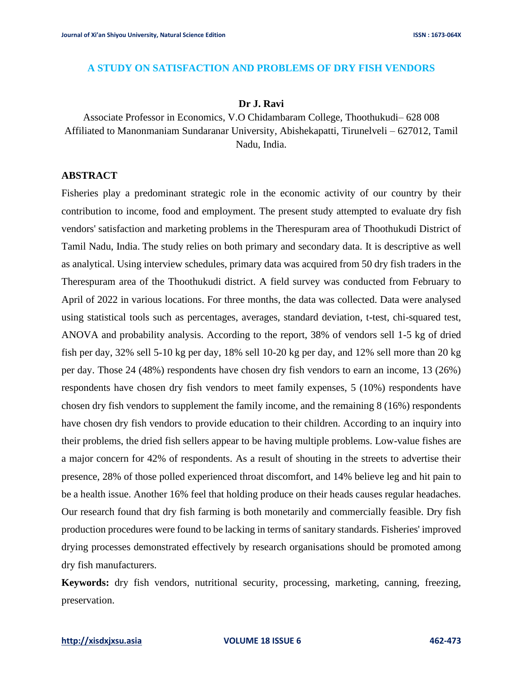#### **A STUDY ON SATISFACTION AND PROBLEMS OF DRY FISH VENDORS**

#### **Dr J. Ravi**

Associate Professor in Economics, V.O Chidambaram College, Thoothukudi– 628 008 Affiliated to Manonmaniam Sundaranar University, Abishekapatti, Tirunelveli – 627012, Tamil Nadu, India.

#### **ABSTRACT**

Fisheries play a predominant strategic role in the economic activity of our country by their contribution to income, food and employment. The present study attempted to evaluate dry fish vendors' satisfaction and marketing problems in the Therespuram area of Thoothukudi District of Tamil Nadu, India. The study relies on both primary and secondary data. It is descriptive as well as analytical. Using interview schedules, primary data was acquired from 50 dry fish traders in the Therespuram area of the Thoothukudi district. A field survey was conducted from February to April of 2022 in various locations. For three months, the data was collected. Data were analysed using statistical tools such as percentages, averages, standard deviation, t-test, chi-squared test, ANOVA and probability analysis. According to the report, 38% of vendors sell 1-5 kg of dried fish per day, 32% sell 5-10 kg per day, 18% sell 10-20 kg per day, and 12% sell more than 20 kg per day. Those 24 (48%) respondents have chosen dry fish vendors to earn an income, 13 (26%) respondents have chosen dry fish vendors to meet family expenses, 5 (10%) respondents have chosen dry fish vendors to supplement the family income, and the remaining 8 (16%) respondents have chosen dry fish vendors to provide education to their children. According to an inquiry into their problems, the dried fish sellers appear to be having multiple problems. Low-value fishes are a major concern for 42% of respondents. As a result of shouting in the streets to advertise their presence, 28% of those polled experienced throat discomfort, and 14% believe leg and hit pain to be a health issue. Another 16% feel that holding produce on their heads causes regular headaches. Our research found that dry fish farming is both monetarily and commercially feasible. Dry fish production procedures were found to be lacking in terms of sanitary standards. Fisheries' improved drying processes demonstrated effectively by research organisations should be promoted among dry fish manufacturers.

**Keywords:** dry fish vendors, nutritional security, processing, marketing, canning, freezing, preservation.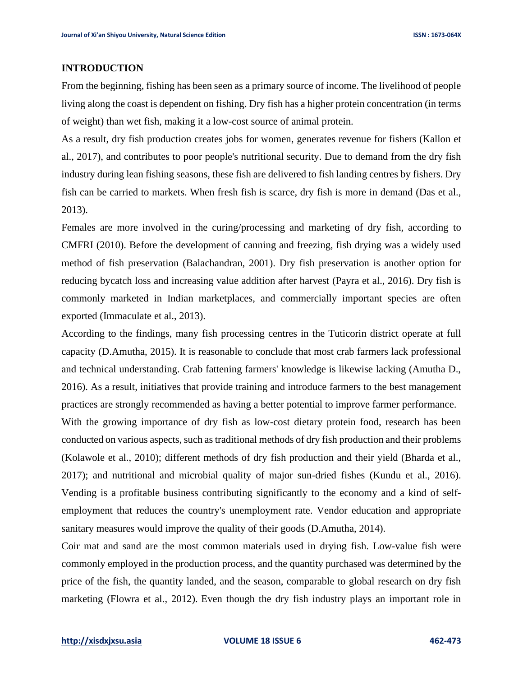### **INTRODUCTION**

From the beginning, fishing has been seen as a primary source of income. The livelihood of people living along the coast is dependent on fishing. Dry fish has a higher protein concentration (in terms of weight) than wet fish, making it a low-cost source of animal protein.

As a result, dry fish production creates jobs for women, generates revenue for fishers (Kallon et al., 2017), and contributes to poor people's nutritional security. Due to demand from the dry fish industry during lean fishing seasons, these fish are delivered to fish landing centres by fishers. Dry fish can be carried to markets. When fresh fish is scarce, dry fish is more in demand (Das et al., 2013).

Females are more involved in the curing/processing and marketing of dry fish, according to CMFRI (2010). Before the development of canning and freezing, fish drying was a widely used method of fish preservation (Balachandran, 2001). Dry fish preservation is another option for reducing bycatch loss and increasing value addition after harvest (Payra et al., 2016). Dry fish is commonly marketed in Indian marketplaces, and commercially important species are often exported (Immaculate et al., 2013).

According to the findings, many fish processing centres in the Tuticorin district operate at full capacity (D.Amutha, 2015). It is reasonable to conclude that most crab farmers lack professional and technical understanding. Crab fattening farmers' knowledge is likewise lacking (Amutha D., 2016). As a result, initiatives that provide training and introduce farmers to the best management practices are strongly recommended as having a better potential to improve farmer performance.

With the growing importance of dry fish as low-cost dietary protein food, research has been conducted on various aspects, such as traditional methods of dry fish production and their problems (Kolawole et al., 2010); different methods of dry fish production and their yield (Bharda et al., 2017); and nutritional and microbial quality of major sun-dried fishes (Kundu et al., 2016). Vending is a profitable business contributing significantly to the economy and a kind of selfemployment that reduces the country's unemployment rate. Vendor education and appropriate sanitary measures would improve the quality of their goods (D.Amutha, 2014).

Coir mat and sand are the most common materials used in drying fish. Low-value fish were commonly employed in the production process, and the quantity purchased was determined by the price of the fish, the quantity landed, and the season, comparable to global research on dry fish marketing (Flowra et al., 2012). Even though the dry fish industry plays an important role in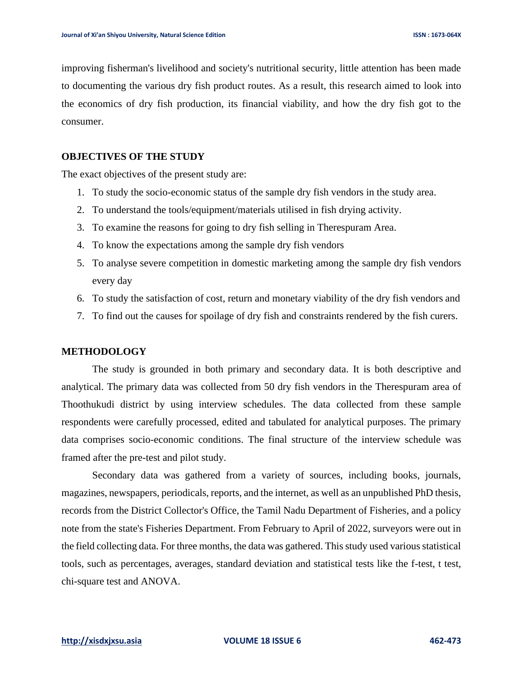improving fisherman's livelihood and society's nutritional security, little attention has been made to documenting the various dry fish product routes. As a result, this research aimed to look into the economics of dry fish production, its financial viability, and how the dry fish got to the consumer.

## **OBJECTIVES OF THE STUDY**

The exact objectives of the present study are:

- 1. To study the socio-economic status of the sample dry fish vendors in the study area.
- 2. To understand the tools/equipment/materials utilised in fish drying activity.
- 3. To examine the reasons for going to dry fish selling in Therespuram Area.
- 4. To know the expectations among the sample dry fish vendors
- 5. To analyse severe competition in domestic marketing among the sample dry fish vendors every day
- 6. To study the satisfaction of cost, return and monetary viability of the dry fish vendors and
- 7. To find out the causes for spoilage of dry fish and constraints rendered by the fish curers.

#### **METHODOLOGY**

The study is grounded in both primary and secondary data. It is both descriptive and analytical. The primary data was collected from 50 dry fish vendors in the Therespuram area of Thoothukudi district by using interview schedules. The data collected from these sample respondents were carefully processed, edited and tabulated for analytical purposes. The primary data comprises socio-economic conditions. The final structure of the interview schedule was framed after the pre-test and pilot study.

Secondary data was gathered from a variety of sources, including books, journals, magazines, newspapers, periodicals, reports, and the internet, as well as an unpublished PhD thesis, records from the District Collector's Office, the Tamil Nadu Department of Fisheries, and a policy note from the state's Fisheries Department. From February to April of 2022, surveyors were out in the field collecting data. For three months, the data was gathered. This study used various statistical tools, such as percentages, averages, standard deviation and statistical tests like the f-test, t test, chi-square test and ANOVA.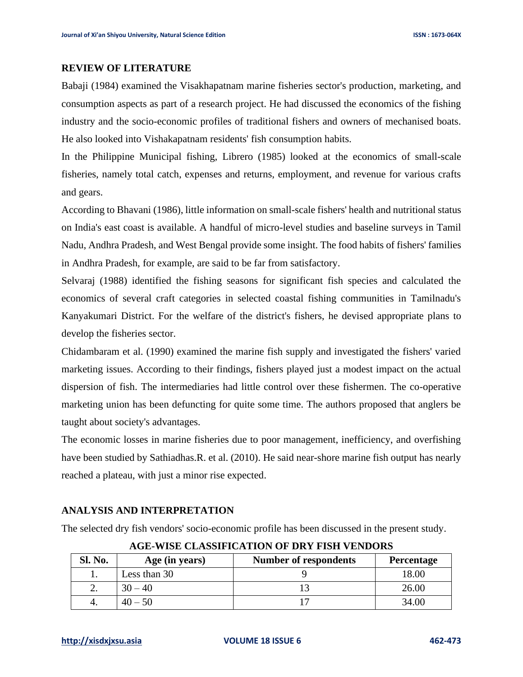#### **REVIEW OF LITERATURE**

Babaji (1984) examined the Visakhapatnam marine fisheries sector's production, marketing, and consumption aspects as part of a research project. He had discussed the economics of the fishing industry and the socio-economic profiles of traditional fishers and owners of mechanised boats. He also looked into Vishakapatnam residents' fish consumption habits.

In the Philippine Municipal fishing, Librero (1985) looked at the economics of small-scale fisheries, namely total catch, expenses and returns, employment, and revenue for various crafts and gears.

According to Bhavani (1986), little information on small-scale fishers' health and nutritional status on India's east coast is available. A handful of micro-level studies and baseline surveys in Tamil Nadu, Andhra Pradesh, and West Bengal provide some insight. The food habits of fishers' families in Andhra Pradesh, for example, are said to be far from satisfactory.

Selvaraj (1988) identified the fishing seasons for significant fish species and calculated the economics of several craft categories in selected coastal fishing communities in Tamilnadu's Kanyakumari District. For the welfare of the district's fishers, he devised appropriate plans to develop the fisheries sector.

Chidambaram et al. (1990) examined the marine fish supply and investigated the fishers' varied marketing issues. According to their findings, fishers played just a modest impact on the actual dispersion of fish. The intermediaries had little control over these fishermen. The co-operative marketing union has been defuncting for quite some time. The authors proposed that anglers be taught about society's advantages.

The economic losses in marine fisheries due to poor management, inefficiency, and overfishing have been studied by Sathiadhas.R. et al. (2010). He said near-shore marine fish output has nearly reached a plateau, with just a minor rise expected.

#### **ANALYSIS AND INTERPRETATION**

The selected dry fish vendors' socio-economic profile has been discussed in the present study.

| <b>Sl. No.</b> | Age (in years) | <b>Number of respondents</b> | <b>Percentage</b> |  |  |
|----------------|----------------|------------------------------|-------------------|--|--|
|                | Less than 30   |                              | 18.00             |  |  |
|                | $30 - 40$      |                              | 26.00             |  |  |
|                | $40 - 50$      |                              | 34.00             |  |  |

**AGE-WISE CLASSIFICATION OF DRY FISH VENDORS**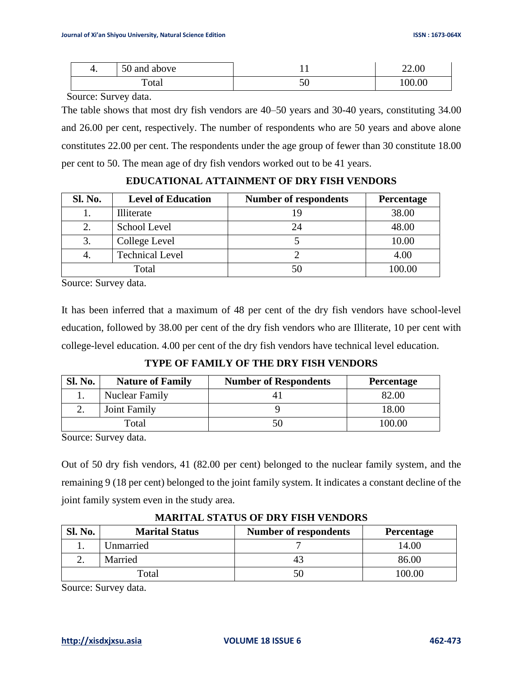| ъ. | 50 and above |    | 22.00  |
|----|--------------|----|--------|
|    | Total        | υU | 100.00 |

Source: Survey data.

The table shows that most dry fish vendors are 40–50 years and 30-40 years, constituting 34.00 and 26.00 per cent, respectively. The number of respondents who are 50 years and above alone constitutes 22.00 per cent. The respondents under the age group of fewer than 30 constitute 18.00 per cent to 50. The mean age of dry fish vendors worked out to be 41 years.

| <b>Sl. No.</b> | <b>Level of Education</b> | <b>Number of respondents</b> | Percentage |
|----------------|---------------------------|------------------------------|------------|
|                | Illiterate                | 19                           | 38.00      |
|                | School Level              | 24                           | 48.00      |
| 3.             | College Level             |                              | 10.00      |
| 4.             | <b>Technical Level</b>    |                              | 4.00       |
|                | Total                     | 50                           | 100.00     |

**EDUCATIONAL ATTAINMENT OF DRY FISH VENDORS**

Source: Survey data.

It has been inferred that a maximum of 48 per cent of the dry fish vendors have school-level education, followed by 38.00 per cent of the dry fish vendors who are Illiterate, 10 per cent with college-level education. 4.00 per cent of the dry fish vendors have technical level education.

**TYPE OF FAMILY OF THE DRY FISH VENDORS**

| <b>Sl. No.</b> | <b>Nature of Family</b> | <b>Number of Respondents</b> | <b>Percentage</b> |
|----------------|-------------------------|------------------------------|-------------------|
|                | <b>Nuclear Family</b>   |                              | 82.00             |
|                | Joint Family            |                              | 18.00             |
|                | Total                   | 50                           | 100.00            |

Source: Survey data.

Out of 50 dry fish vendors, 41 (82.00 per cent) belonged to the nuclear family system, and the remaining 9 (18 per cent) belonged to the joint family system. It indicates a constant decline of the joint family system even in the study area.

| <b>Sl. No.</b> | <b>Marital Status</b> | <b>Number of respondents</b> | <b>Percentage</b> |
|----------------|-----------------------|------------------------------|-------------------|
|                | Unmarried             |                              | 14.00             |
|                | Married               |                              | 86.00             |
|                | Total                 |                              | 100.00            |

**MARITAL STATUS OF DRY FISH VENDORS**

Source: Survey data.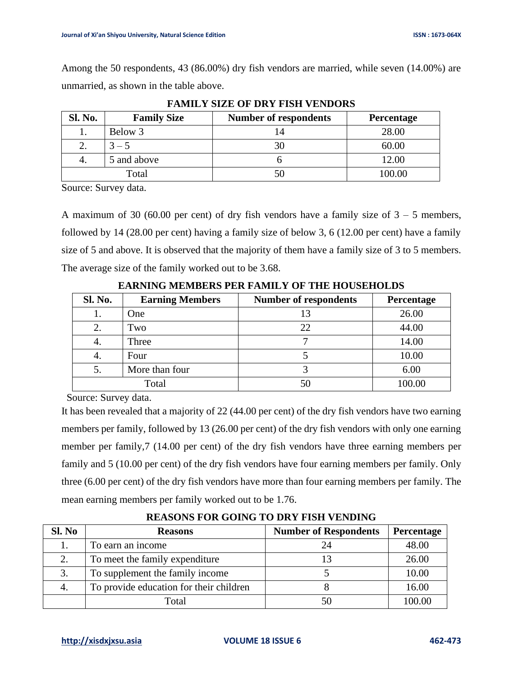Among the 50 respondents, 43 (86.00%) dry fish vendors are married, while seven (14.00%) are unmarried, as shown in the table above.

| Sl. No. | <b>Family Size</b> | <b>Number of respondents</b> | Percentage |
|---------|--------------------|------------------------------|------------|
|         | Below 3            |                              | 28.00      |
|         | $3 - 5$            |                              | 60.00      |
|         | 5 and above        |                              | 12.00      |
|         | Total              |                              | 100.00     |

**FAMILY SIZE OF DRY FISH VENDORS**

Source: Survey data.

A maximum of 30 (60.00 per cent) of dry fish vendors have a family size of  $3 - 5$  members, followed by 14 (28.00 per cent) having a family size of below 3, 6 (12.00 per cent) have a family size of 5 and above. It is observed that the majority of them have a family size of 3 to 5 members. The average size of the family worked out to be 3.68.

| <b>Sl. No.</b> | <b>Earning Members</b> | <b>Number of respondents</b> | Percentage |
|----------------|------------------------|------------------------------|------------|
|                | One                    | 13                           | 26.00      |
| 2.             | Two                    | 22                           | 44.00      |
| 4.             | Three                  |                              | 14.00      |
|                | Four                   |                              | 10.00      |
| 5.             | More than four         |                              | 6.00       |
|                | Total                  | 50                           | 100.00     |

**EARNING MEMBERS PER FAMILY OF THE HOUSEHOLDS**

Source: Survey data.

It has been revealed that a majority of 22 (44.00 per cent) of the dry fish vendors have two earning members per family, followed by 13 (26.00 per cent) of the dry fish vendors with only one earning member per family,7 (14.00 per cent) of the dry fish vendors have three earning members per family and 5 (10.00 per cent) of the dry fish vendors have four earning members per family. Only three (6.00 per cent) of the dry fish vendors have more than four earning members per family. The mean earning members per family worked out to be 1.76.

| Sl. No | <b>Reasons</b>                          | <b>Number of Respondents</b> | Percentage |
|--------|-----------------------------------------|------------------------------|------------|
|        | To earn an income                       | 24                           | 48.00      |
|        | To meet the family expenditure          |                              | 26.00      |
|        | To supplement the family income         |                              | 10.00      |
|        | To provide education for their children |                              | 16.00      |
|        | Total                                   | 50                           | 100.00     |

**REASONS FOR GOING TO DRY FISH VENDING**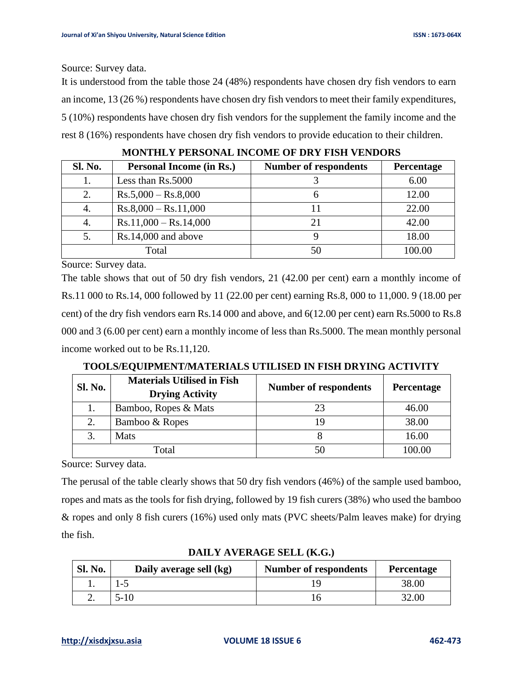Source: Survey data.

It is understood from the table those 24 (48%) respondents have chosen dry fish vendors to earn an income, 13 (26 %) respondents have chosen dry fish vendors to meet their family expenditures, 5 (10%) respondents have chosen dry fish vendors for the supplement the family income and the rest 8 (16%) respondents have chosen dry fish vendors to provide education to their children.

| <b>Sl. No.</b> | <b>Personal Income (in Rs.)</b> | <b>Number of respondents</b> | Percentage |
|----------------|---------------------------------|------------------------------|------------|
|                | Less than Rs.5000               |                              | 6.00       |
| 2.             | $Rs.5,000 - Rs.8,000$           | n                            | 12.00      |
| 4.             | $Rs.8,000 - Rs.11,000$          |                              | 22.00      |
| 4.             | $Rs.11,000 - Rs.14,000$         | 21                           | 42.00      |
| 5.             | $Rs.14,000$ and above           |                              | 18.00      |
|                | Total                           | 50                           | 100.00     |

**MONTHLY PERSONAL INCOME OF DRY FISH VENDORS**

Source: Survey data.

The table shows that out of 50 dry fish vendors, 21 (42.00 per cent) earn a monthly income of Rs.11 000 to Rs.14, 000 followed by 11 (22.00 per cent) earning Rs.8, 000 to 11,000. 9 (18.00 per cent) of the dry fish vendors earn Rs.14 000 and above, and 6(12.00 per cent) earn Rs.5000 to Rs.8 000 and 3 (6.00 per cent) earn a monthly income of less than Rs.5000. The mean monthly personal income worked out to be Rs.11,120.

|  |  | TOOLS/EQUIPMENT/MATERIALS UTILISED IN FISH DRYING ACTIVITY |  |
|--|--|------------------------------------------------------------|--|
|  |  |                                                            |  |

| <b>Sl. No.</b> | <b>Materials Utilised in Fish</b><br><b>Drying Activity</b> | <b>Number of respondents</b> | <b>Percentage</b> |
|----------------|-------------------------------------------------------------|------------------------------|-------------------|
|                | Bamboo, Ropes & Mats                                        |                              | 46.00             |
|                | Bamboo & Ropes                                              | 19                           | 38.00             |
| $\mathcal{R}$  | Mats                                                        |                              | 16.00             |
|                | Total                                                       |                              | 100.00            |

Source: Survey data.

The perusal of the table clearly shows that 50 dry fish vendors (46%) of the sample used bamboo, ropes and mats as the tools for fish drying, followed by 19 fish curers (38%) who used the bamboo & ropes and only 8 fish curers (16%) used only mats (PVC sheets/Palm leaves make) for drying the fish.

| <b>Sl. No.</b> | Daily average sell (kg) | <b>Number of respondents</b> | <b>Percentage</b> |
|----------------|-------------------------|------------------------------|-------------------|
|                |                         |                              | 38.00             |
|                | 5-10                    |                              | 32.00             |

**DAILY AVERAGE SELL (K.G.)**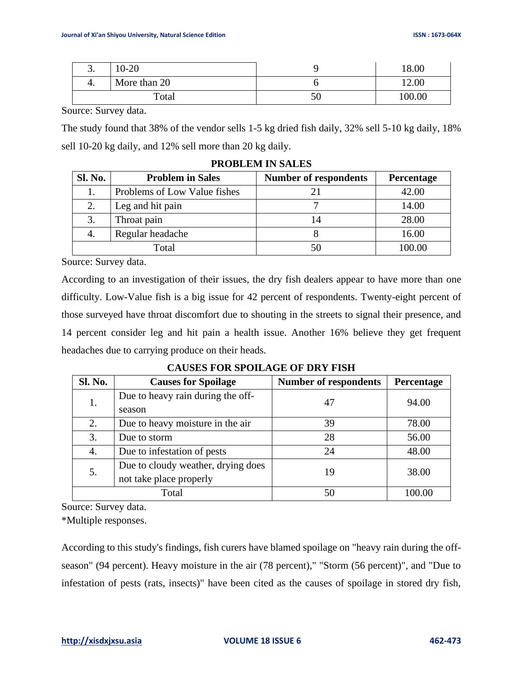| J.    | $10 - 20$    |    | 18.00  |
|-------|--------------|----|--------|
| Ч.    | More than 20 |    | 12.00  |
| Total |              | 50 | 100.00 |

Source: Survey data.

The study found that 38% of the vendor sells 1-5 kg dried fish daily, 32% sell 5-10 kg daily, 18% sell 10-20 kg daily, and 12% sell more than 20 kg daily.

| <b>Sl. No.</b> | <b>Problem in Sales</b>      | <b>Number of respondents</b> | Percentage |
|----------------|------------------------------|------------------------------|------------|
|                | Problems of Low Value fishes |                              | 42.00      |
| 2.             | Leg and hit pain             |                              | 14.00      |
| 3.             | Throat pain                  | 14                           | 28.00      |
| 4.             | Regular headache             |                              | 16.00      |
|                | Total                        | 50                           | 100.00     |

#### **PROBLEM IN SALES**

Source: Survey data.

According to an investigation of their issues, the dry fish dealers appear to have more than one difficulty. Low-Value fish is a big issue for 42 percent of respondents. Twenty-eight percent of those surveyed have throat discomfort due to shouting in the streets to signal their presence, and 14 percent consider leg and hit pain a health issue. Another 16% believe they get frequent headaches due to carrying produce on their heads.

| <b>Sl. No.</b> | <b>Causes for Spoilage</b>         | <b>Number of respondents</b> | Percentage |
|----------------|------------------------------------|------------------------------|------------|
| 1.             | Due to heavy rain during the off-  | 47                           | 94.00      |
|                | season                             |                              |            |
| 2.             | Due to heavy moisture in the air   | 39                           | 78.00      |
| 3.             | Due to storm                       | 28                           | 56.00      |
| 4.             | Due to infestation of pests        | 24                           | 48.00      |
| 5.             | Due to cloudy weather, drying does | 19                           | 38.00      |
|                | not take place properly            |                              |            |
|                | Total                              | 50                           |            |

**CAUSES FOR SPOILAGE OF DRY FISH**

Source: Survey data.

\*Multiple responses.

According to this study's findings, fish curers have blamed spoilage on "heavy rain during the offseason" (94 percent). Heavy moisture in the air (78 percent)," "Storm (56 percent)", and "Due to infestation of pests (rats, insects)" have been cited as the causes of spoilage in stored dry fish,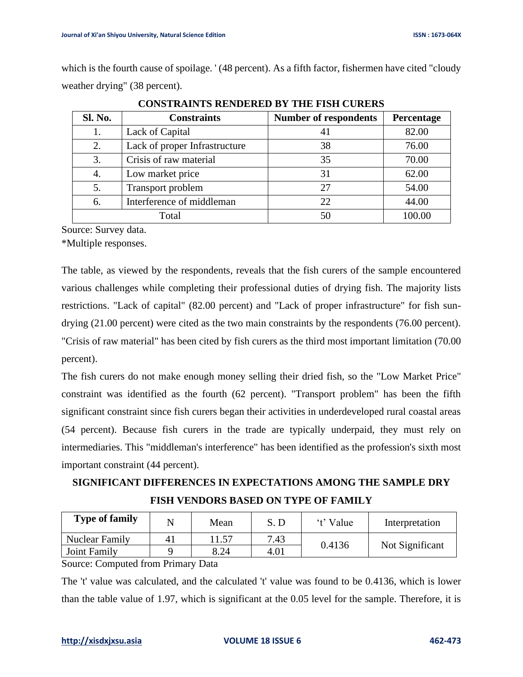which is the fourth cause of spoilage. ' (48 percent). As a fifth factor, fishermen have cited "cloudy weather drying" (38 percent).

| <b>Sl. No.</b> | <b>Constraints</b>            | <b>Number of respondents</b> | Percentage |  |
|----------------|-------------------------------|------------------------------|------------|--|
| 1.             | Lack of Capital               | 41                           | 82.00      |  |
| 2.             | Lack of proper Infrastructure | 38                           | 76.00      |  |
| 3.             | Crisis of raw material        | 35                           | 70.00      |  |
| 4.             | Low market price              | 31                           | 62.00      |  |
| 5.             | Transport problem             | 27                           | 54.00      |  |
| 6.             | Interference of middleman     | 22                           | 44.00      |  |
|                | Total                         | 50                           |            |  |

**CONSTRAINTS RENDERED BY THE FISH CURERS**

Source: Survey data.

\*Multiple responses.

The table, as viewed by the respondents, reveals that the fish curers of the sample encountered various challenges while completing their professional duties of drying fish. The majority lists restrictions. "Lack of capital" (82.00 percent) and "Lack of proper infrastructure" for fish sundrying (21.00 percent) were cited as the two main constraints by the respondents (76.00 percent). "Crisis of raw material" has been cited by fish curers as the third most important limitation (70.00 percent).

The fish curers do not make enough money selling their dried fish, so the "Low Market Price" constraint was identified as the fourth (62 percent). "Transport problem" has been the fifth significant constraint since fish curers began their activities in underdeveloped rural coastal areas (54 percent). Because fish curers in the trade are typically underpaid, they must rely on intermediaries. This "middleman's interference" has been identified as the profession's sixth most important constraint (44 percent).

# **SIGNIFICANT DIFFERENCES IN EXPECTATIONS AMONG THE SAMPLE DRY FISH VENDORS BASED ON TYPE OF FAMILY**

| <b>Type of family</b>      |          | Mean                     | S. D | 't' Value | Interpretation  |
|----------------------------|----------|--------------------------|------|-----------|-----------------|
| <b>Nuclear Family</b>      | 41       | 1.57                     | 7.43 |           |                 |
| Joint Family               |          | 8.24                     | 4.01 | 0.4136    | Not Significant |
| $\sim$<br>$\sim$<br>$\sim$ | $ \cdot$ | $\overline{\phantom{a}}$ |      |           |                 |

Source: Computed from Primary Data

The 't' value was calculated, and the calculated 't' value was found to be 0.4136, which is lower than the table value of 1.97, which is significant at the 0.05 level for the sample. Therefore, it is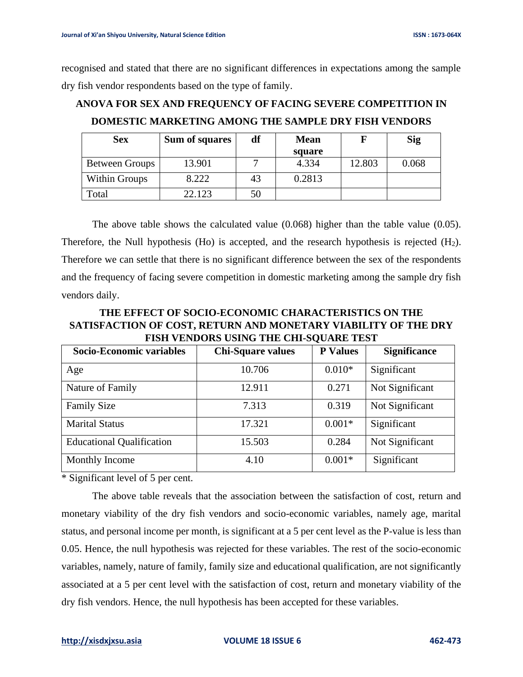recognised and stated that there are no significant differences in expectations among the sample dry fish vendor respondents based on the type of family.

| <b>Sex</b>            | Sum of squares | df | <b>Mean</b><br>square |        | <b>Sig</b> |
|-----------------------|----------------|----|-----------------------|--------|------------|
| <b>Between Groups</b> | 13.901         |    | 4.334                 | 12.803 | 0.068      |
| Within Groups         | 8.222          | 43 | 0.2813                |        |            |
| Total                 | 22.123         | 50 |                       |        |            |

**ANOVA FOR SEX AND FREQUENCY OF FACING SEVERE COMPETITION IN DOMESTIC MARKETING AMONG THE SAMPLE DRY FISH VENDORS**

The above table shows the calculated value (0.068) higher than the table value (0.05). Therefore, the Null hypothesis (Ho) is accepted, and the research hypothesis is rejected  $(H<sub>2</sub>)$ . Therefore we can settle that there is no significant difference between the sex of the respondents and the frequency of facing severe competition in domestic marketing among the sample dry fish vendors daily.

**THE EFFECT OF SOCIO-ECONOMIC CHARACTERISTICS ON THE SATISFACTION OF COST, RETURN AND MONETARY VIABILITY OF THE DRY FISH VENDORS USING THE CHI-SQUARE TEST**

| Socio-Economic variables         | <b>Chi-Square values</b> | <b>P</b> Values | <b>Significance</b> |  |
|----------------------------------|--------------------------|-----------------|---------------------|--|
| Age                              | 10.706                   | $0.010*$        | Significant         |  |
| Nature of Family                 | 12.911                   | 0.271           | Not Significant     |  |
| <b>Family Size</b>               | 7.313                    | 0.319           | Not Significant     |  |
| <b>Marital Status</b>            | 17.321                   | $0.001*$        | Significant         |  |
| <b>Educational Qualification</b> | 15.503                   | 0.284           | Not Significant     |  |
| Monthly Income                   | 4.10                     | $0.001*$        | Significant         |  |

\* Significant level of 5 per cent.

The above table reveals that the association between the satisfaction of cost, return and monetary viability of the dry fish vendors and socio-economic variables, namely age, marital status, and personal income per month, is significant at a 5 per cent level as the P-value is less than 0.05. Hence, the null hypothesis was rejected for these variables. The rest of the socio-economic variables, namely, nature of family, family size and educational qualification, are not significantly associated at a 5 per cent level with the satisfaction of cost, return and monetary viability of the dry fish vendors. Hence, the null hypothesis has been accepted for these variables.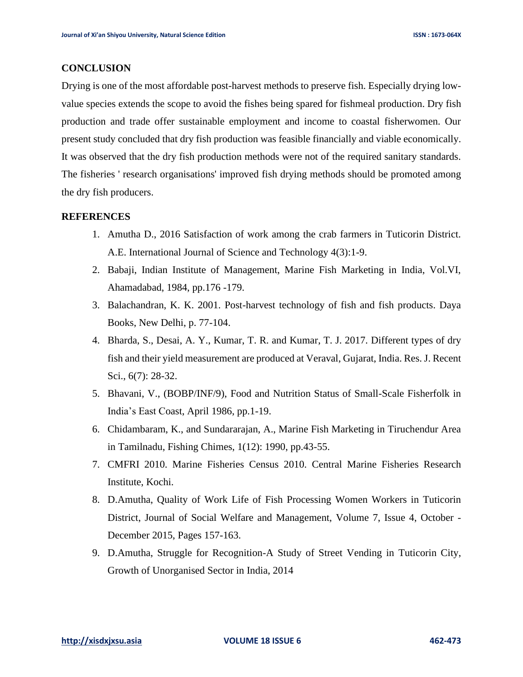#### **CONCLUSION**

Drying is one of the most affordable post-harvest methods to preserve fish. Especially drying lowvalue species extends the scope to avoid the fishes being spared for fishmeal production. Dry fish production and trade offer sustainable employment and income to coastal fisherwomen. Our present study concluded that dry fish production was feasible financially and viable economically. It was observed that the dry fish production methods were not of the required sanitary standards. The fisheries ' research organisations' improved fish drying methods should be promoted among the dry fish producers.

### **REFERENCES**

- 1. Amutha D., 2016 Satisfaction of work among the crab farmers in Tuticorin District. A.E. International Journal of Science and Technology 4(3):1-9.
- 2. Babaji, Indian Institute of Management, Marine Fish Marketing in India, Vol.VI, Ahamadabad, 1984, pp.176 -179.
- 3. Balachandran, K. K. 2001. Post-harvest technology of fish and fish products. Daya Books, New Delhi, p. 77-104.
- 4. Bharda, S., Desai, A. Y., Kumar, T. R. and Kumar, T. J. 2017. Different types of dry fish and their yield measurement are produced at Veraval, Gujarat, India. Res. J. Recent Sci., 6(7): 28-32.
- 5. Bhavani, V., (BOBP/INF/9), Food and Nutrition Status of Small-Scale Fisherfolk in India's East Coast, April 1986, pp.1-19.
- 6. Chidambaram, K., and Sundararajan, A., Marine Fish Marketing in Tiruchendur Area in Tamilnadu, Fishing Chimes, 1(12): 1990, pp.43-55.
- 7. CMFRI 2010. Marine Fisheries Census 2010. Central Marine Fisheries Research Institute, Kochi.
- 8. D.Amutha, Quality of Work Life of Fish Processing Women Workers in Tuticorin District, Journal of Social Welfare and Management, Volume 7, Issue 4, October - December 2015, Pages 157-163.
- 9. D.Amutha, Struggle for Recognition-A Study of Street Vending in Tuticorin City, Growth of Unorganised Sector in India, 2014